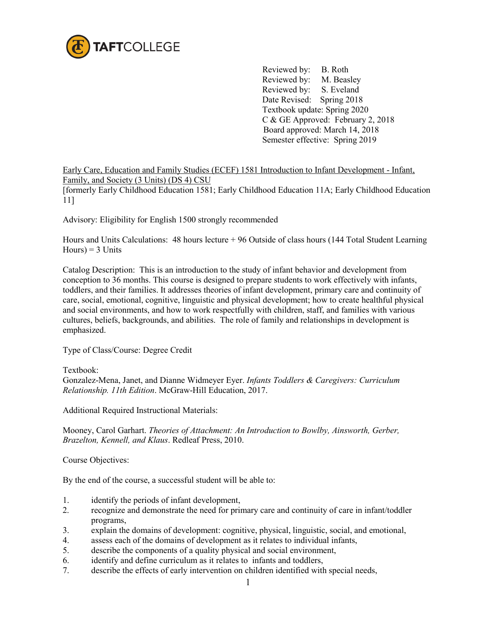

Reviewed by: B. Roth<br>Reviewed by: M. Beasley Reviewed by: Reviewed by: S. Eveland Date Revised: Spring 2018 Textbook update: Spring 2020 C & GE Approved: February 2, 2018 Board approved: March 14, 2018 Semester effective: Spring 2019

Early Care, Education and Family Studies (ECEF) 1581 Introduction to Infant Development - Infant, Family, and Society (3 Units) (DS 4) CSU

[formerly Early Childhood Education 1581; Early Childhood Education 11A; Early Childhood Education 11]

Advisory: Eligibility for English 1500 strongly recommended

Hours and Units Calculations: 48 hours lecture + 96 Outside of class hours (144 Total Student Learning  $Hours$ ) = 3 Units

Catalog Description: This is an introduction to the study of infant behavior and development from conception to 36 months. This course is designed to prepare students to work effectively with infants, toddlers, and their families. It addresses theories of infant development, primary care and continuity of care, social, emotional, cognitive, linguistic and physical development; how to create healthful physical and social environments, and how to work respectfully with children, staff, and families with various cultures, beliefs, backgrounds, and abilities. The role of family and relationships in development is emphasized.

Type of Class/Course: Degree Credit

Textbook:

Gonzalez-Mena, Janet, and Dianne Widmeyer Eyer. *Infants Toddlers & Caregivers: Curriculum Relationship. 11th Edition*. McGraw-Hill Education, 2017.

Additional Required Instructional Materials:

Mooney, Carol Garhart. *Theories of Attachment: An Introduction to Bowlby, Ainsworth, Gerber, Brazelton, Kennell, and Klaus*. Redleaf Press, 2010.

Course Objectives:

By the end of the course, a successful student will be able to:

- 1. identify the periods of infant development,
- 2. recognize and demonstrate the need for primary care and continuity of care in infant/toddler programs,
- 3. explain the domains of development: cognitive, physical, linguistic, social, and emotional,
- 4. assess each of the domains of development as it relates to individual infants,
- 5. describe the components of a quality physical and social environment,
- 6. identify and define curriculum as it relates to infants and toddlers,
- 7. describe the effects of early intervention on children identified with special needs,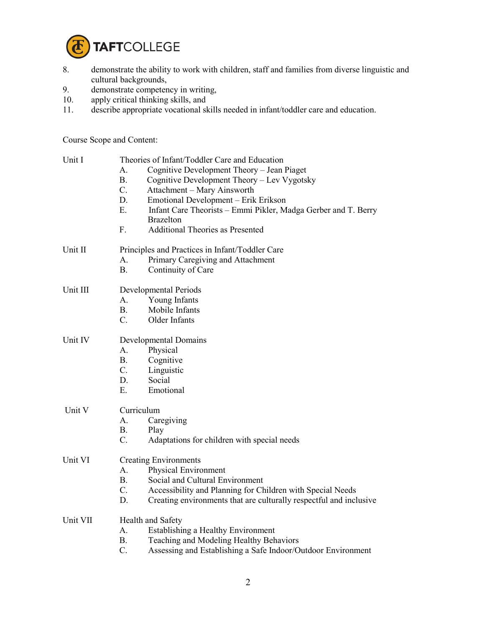

- 8. demonstrate the ability to work with children, staff and families from diverse linguistic and cultural backgrounds,
- 9. demonstrate competency in writing,
- 10. apply critical thinking skills, and<br>11. describe appropriate vocational sk
- describe appropriate vocational skills needed in infant/toddler care and education.

Course Scope and Content:

| Unit I   | Theories of Infant/Toddler Care and Education                                 |  |  |
|----------|-------------------------------------------------------------------------------|--|--|
|          | Cognitive Development Theory - Jean Piaget<br>A.                              |  |  |
|          | <b>B.</b><br>Cognitive Development Theory - Lev Vygotsky                      |  |  |
|          | $C$ .<br>Attachment - Mary Ainsworth                                          |  |  |
|          | D.<br>Emotional Development – Erik Erikson                                    |  |  |
|          | Ε.<br>Infant Care Theorists – Emmi Pikler, Madga Gerber and T. Berry          |  |  |
|          | <b>Brazelton</b>                                                              |  |  |
|          | <b>Additional Theories as Presented</b><br>F.                                 |  |  |
| Unit II  | Principles and Practices in Infant/Toddler Care                               |  |  |
|          | Primary Caregiving and Attachment<br>А.                                       |  |  |
|          | <b>B.</b><br>Continuity of Care                                               |  |  |
| Unit III | Developmental Periods                                                         |  |  |
|          | A.<br>Young Infants                                                           |  |  |
|          | Mobile Infants<br>B.                                                          |  |  |
|          | $C_{\cdot}$<br>Older Infants                                                  |  |  |
| Unit IV  | Developmental Domains                                                         |  |  |
|          | Physical<br>A.                                                                |  |  |
|          | B.<br>Cognitive                                                               |  |  |
|          | C.<br>Linguistic                                                              |  |  |
|          | D.<br>Social                                                                  |  |  |
|          | Emotional<br>Е.                                                               |  |  |
| Unit V   | Curriculum                                                                    |  |  |
|          | A.<br>Caregiving                                                              |  |  |
|          | <b>B.</b><br>Play                                                             |  |  |
|          | $C$ .<br>Adaptations for children with special needs                          |  |  |
| Unit VI  | <b>Creating Environments</b>                                                  |  |  |
|          | Physical Environment<br>$\mathsf{A}$ .                                        |  |  |
|          | Social and Cultural Environment<br>В.                                         |  |  |
|          | $\mathcal{C}$ .<br>Accessibility and Planning for Children with Special Needs |  |  |
|          | D.<br>Creating environments that are culturally respectful and inclusive      |  |  |
| Unit VII | Health and Safety                                                             |  |  |
|          | A.<br>Establishing a Healthy Environment                                      |  |  |
|          | B.<br>Teaching and Modeling Healthy Behaviors                                 |  |  |
|          | $C$ .<br>Assessing and Establishing a Safe Indoor/Outdoor Environment         |  |  |
|          |                                                                               |  |  |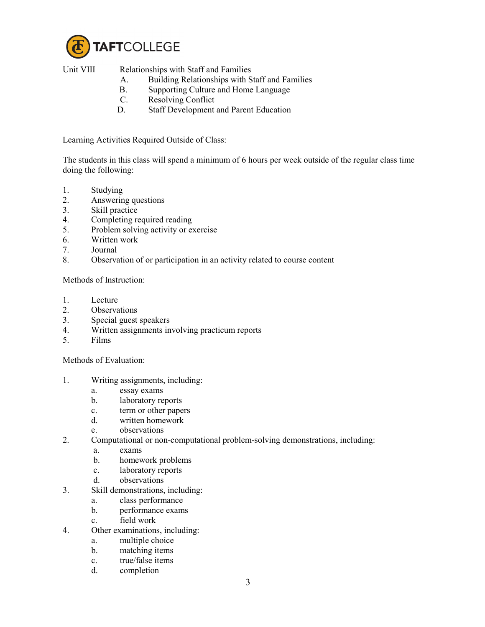

Unit VIII Relationships with Staff and Families

- A. Building Relationships with Staff and Families
- B. Supporting Culture and Home Language
- C. Resolving Conflict
- D. Staff Development and Parent Education

Learning Activities Required Outside of Class:

The students in this class will spend a minimum of 6 hours per week outside of the regular class time doing the following:

- 1. Studying
- 2. Answering questions
- 3. Skill practice
- 4. Completing required reading
- 5. Problem solving activity or exercise
- 6. Written work
- 7. Journal
- 8. Observation of or participation in an activity related to course content

Methods of Instruction:

- 1. Lecture
- 2. Observations
- 3. Special guest speakers
- 4. Written assignments involving practicum reports<br>5. Films
- 5. Films

Methods of Evaluation:

- 1. Writing assignments, including:
	- a. essay exams
	- b. laboratory reports
	- c. term or other papers
	- d. written homework
	- e. observations
- 2. Computational or non-computational problem-solving demonstrations, including:
	- a. exams
	- b. homework problems
	- c. laboratory reports
	- d. observations
- 3. Skill demonstrations, including:
	- a. class performance
	- b. performance exams
	- c. field work
- 4. Other examinations, including:
	- a. multiple choice
	- b. matching items
	- c. true/false items
	- d. completion